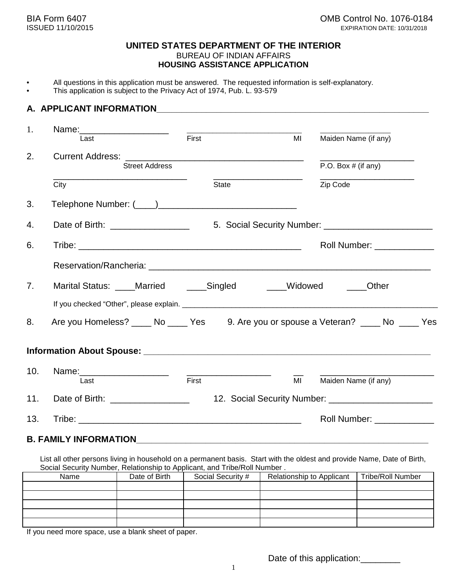#### **UNITED STATES DEPARTMENT OF THE INTERIOR** BUREAU OF INDIAN AFFAIRS **HOUSING ASSISTANCE APPLICATION**

- All questions in this application must be answered. The requested information is self-explanatory.
- This application is subject to the Privacy Act of 1974, Pub. L. 93-579

### **A. APPLICANT INFORMATION**

| 1.             | Name: _______________________                                                                                                                                                                                                 |       |              |    |                            |
|----------------|-------------------------------------------------------------------------------------------------------------------------------------------------------------------------------------------------------------------------------|-------|--------------|----|----------------------------|
|                | Last                                                                                                                                                                                                                          | First |              | MI | Maiden Name (if any)       |
| 2.             |                                                                                                                                                                                                                               |       |              |    |                            |
|                | <b>Street Address</b>                                                                                                                                                                                                         |       |              |    | P.O. Box $#$ (if any)      |
|                | City                                                                                                                                                                                                                          |       | <b>State</b> |    | Zip Code                   |
| 3.             |                                                                                                                                                                                                                               |       |              |    |                            |
| 4.             |                                                                                                                                                                                                                               |       |              |    |                            |
| 6.             |                                                                                                                                                                                                                               |       |              |    | Roll Number: _____________ |
|                | Reservation/Rancheria: Letter and Control and Control and Control and Control and Control and Control and Control and Control and Control and Control and Control and Control and Control and Control and Control and Control |       |              |    |                            |
| 7 <sub>1</sub> | Marital Status: ____Married _____Singled _____Widowed                                                                                                                                                                         |       |              |    | <b>Other</b>               |
|                |                                                                                                                                                                                                                               |       |              |    |                            |
| 8.             | Are you Homeless? _____ No _____ Yes 9. Are you or spouse a Veteran? ____ No ____ Yes                                                                                                                                         |       |              |    |                            |
|                |                                                                                                                                                                                                                               |       |              |    |                            |
| 10.            | Name: _______________________                                                                                                                                                                                                 |       |              |    |                            |
|                | Last                                                                                                                                                                                                                          | First |              | MI | Maiden Name (if any)       |
| 11.            | Date of Birth: ___________________                                                                                                                                                                                            |       |              |    |                            |
| 13.            |                                                                                                                                                                                                                               |       |              |    | Roll Number: _____________ |
|                |                                                                                                                                                                                                                               |       |              |    |                            |

#### **B. FAMILY INFORMATION**

List all other persons living in household on a permanent basis. Start with the oldest and provide Name, Date of Birth, Social Security Number, Relationship to Applicant, and Tribe/Roll Number .

| Name | Date of Birth | Social Security # | Relationship to Applicant | <b>Tribe/Roll Number</b> |
|------|---------------|-------------------|---------------------------|--------------------------|
|      |               |                   |                           |                          |
|      |               |                   |                           |                          |
|      |               |                   |                           |                          |
|      |               |                   |                           |                          |
|      |               |                   |                           |                          |

If you need more space, use a blank sheet of paper.

Date of this application:\_\_\_\_\_\_\_\_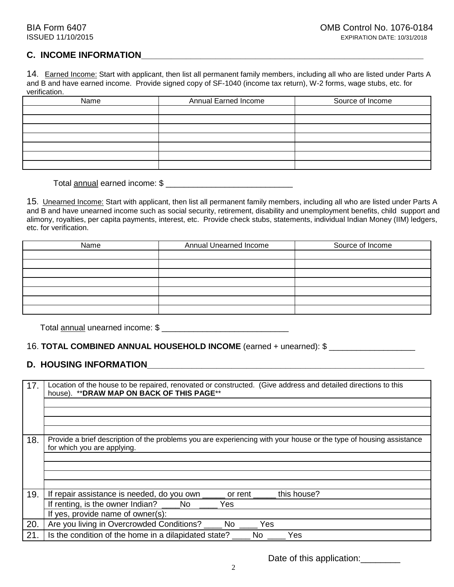# C. INCOME INFORMATION

14. Earned Income: Start with applicant, then list all permanent family members, including all who are listed under Parts A and B and have earned income. Provide signed copy of SF-1040 (income tax return), W-2 forms, wage stubs, etc. for verification.

| Name | Annual Earned Income | Source of Income |  |
|------|----------------------|------------------|--|
|      |                      |                  |  |
|      |                      |                  |  |
|      |                      |                  |  |
|      |                      |                  |  |
|      |                      |                  |  |
|      |                      |                  |  |
|      |                      |                  |  |

Total annual earned income: \$ \_\_\_\_\_\_\_\_\_\_\_\_\_\_\_\_\_\_\_\_\_\_\_\_\_\_\_\_

15. Unearned Income: Start with applicant, then list all permanent family members, including all who are listed under Parts A and B and have unearned income such as social security, retirement, disability and unemployment benefits, child support and alimony, royalties, per capita payments, interest, etc. Provide check stubs, statements, individual Indian Money (IIM) ledgers, etc. for verification.

| Name | Annual Unearned Income | Source of Income |  |
|------|------------------------|------------------|--|
|      |                        |                  |  |
|      |                        |                  |  |
|      |                        |                  |  |
|      |                        |                  |  |
|      |                        |                  |  |
|      |                        |                  |  |
|      |                        |                  |  |

Total annual unearned income: \$ \_\_\_\_\_\_\_\_\_\_\_\_\_\_\_\_\_\_\_\_\_\_\_\_\_\_\_\_

#### 16. **TOTAL COMBINED ANNUAL HOUSEHOLD INCOME** (earned + unearned): \$ \_\_\_\_\_\_\_\_\_\_\_\_\_\_\_\_\_\_\_

# **D. HOUSING INFORMATION**

| 17. | Location of the house to be repaired, renovated or constructed. (Give address and detailed directions to this<br>house). ** DRAW MAP ON BACK OF THIS PAGE** |
|-----|-------------------------------------------------------------------------------------------------------------------------------------------------------------|
| 18. | Provide a brief description of the problems you are experiencing with your house or the type of housing assistance                                          |
|     | for which you are applying.                                                                                                                                 |
|     |                                                                                                                                                             |
|     |                                                                                                                                                             |
| 19. | If repair assistance is needed, do you own<br>this house?<br>or rent                                                                                        |
|     | If renting, is the owner Indian?<br>No<br>Yes                                                                                                               |
|     | If yes, provide name of owner(s):                                                                                                                           |
| 20. | Are you living in Overcrowded Conditions? No<br>Yes                                                                                                         |
| 21. | Is the condition of the home in a dilapidated state?<br>No<br>Yes                                                                                           |

Date of this application:\_\_\_\_\_\_\_\_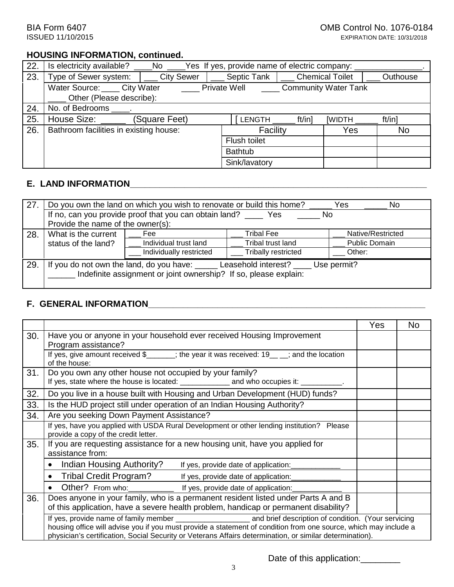# **HOUSING INFORMATION, continued.**

| 22. | No ______Yes If yes, provide name of electric company:<br>Is electricity available? |               |                |                      |                        |          |
|-----|-------------------------------------------------------------------------------------|---------------|----------------|----------------------|------------------------|----------|
| 23. | Type of Sewer system:                                                               | City Sewer    | Septic Tank    |                      | <b>Chemical Toilet</b> | Outhouse |
|     | Water Source: City Water                                                            |               | Private Well   | Community Water Tank |                        |          |
|     | Other (Please describe):                                                            |               |                |                      |                        |          |
| 24. | No. of Bedrooms .                                                                   |               |                |                      |                        |          |
| 25. | House Size:                                                                         | (Square Feet) | LENGTH         | ft/in]               | [WIDTH                 | ft/in]   |
| 26. | Bathroom facilities in existing house:                                              |               |                | Facility             | Yes                    | No       |
|     |                                                                                     |               |                | Flush toilet         |                        |          |
|     |                                                                                     |               | <b>Bathtub</b> |                      |                        |          |
|     |                                                                                     |               | Sink/lavatory  |                      |                        |          |

# **E. LAND INFORMATION**

| 27. | Do you own the land on which you wish to renovate or build this home?<br>Yes<br>No                                                                       |                                                                    |                     |                      |  |
|-----|----------------------------------------------------------------------------------------------------------------------------------------------------------|--------------------------------------------------------------------|---------------------|----------------------|--|
|     |                                                                                                                                                          | If no, can you provide proof that you can obtain land? _______ Yes |                     | No.                  |  |
|     | Provide the name of the owner(s):                                                                                                                        |                                                                    |                     |                      |  |
| 28. | What is the current                                                                                                                                      | Fee                                                                | <b>Tribal Fee</b>   | Native/Restricted    |  |
|     | status of the land?                                                                                                                                      | Individual trust land                                              | Tribal trust land   | <b>Public Domain</b> |  |
|     |                                                                                                                                                          | Individually restricted                                            | Tribally restricted | Other:               |  |
| 29  | Leasehold interest?<br>If you do not own the land, do you have: _____<br>Use permit?<br>Indefinite assignment or joint ownership? If so, please explain: |                                                                    |                     |                      |  |
|     |                                                                                                                                                          |                                                                    |                     |                      |  |

# **F. GENERAL INFORMATION\_\_\_\_\_\_\_\_\_\_\_\_\_\_\_\_\_\_\_\_\_\_\_\_\_\_\_\_\_\_\_\_\_\_\_\_\_\_\_\_\_\_\_\_\_\_\_\_\_\_\_\_\_\_\_\_**

|     |                                                                                                                                                                                                                              | Yes | No. |
|-----|------------------------------------------------------------------------------------------------------------------------------------------------------------------------------------------------------------------------------|-----|-----|
| 30. | Have you or anyone in your household ever received Housing Improvement<br>Program assistance?                                                                                                                                |     |     |
|     | If yes, give amount received $\frac{1}{2}$ ; the year it was received: $19$ _ _; and the location<br>of the house:                                                                                                           |     |     |
| 31. | Do you own any other house not occupied by your family?<br>If yes, state where the house is located: _______________ and who occupies it: __________.                                                                        |     |     |
| 32. | Do you live in a house built with Housing and Urban Development (HUD) funds?                                                                                                                                                 |     |     |
| 33. | Is the HUD project still under operation of an Indian Housing Authority?                                                                                                                                                     |     |     |
| 34. | Are you seeking Down Payment Assistance?                                                                                                                                                                                     |     |     |
|     | If yes, have you applied with USDA Rural Development or other lending institution? Please<br>provide a copy of the credit letter.                                                                                            |     |     |
| 35. | If you are requesting assistance for a new housing unit, have you applied for<br>assistance from:                                                                                                                            |     |     |
|     | Indian Housing Authority?<br>If yes, provide date of application:                                                                                                                                                            |     |     |
|     | Tribal Credit Program? ______ If yes, provide date of application:                                                                                                                                                           |     |     |
|     | Other? From who:_________________ If yes, provide date of application:                                                                                                                                                       |     |     |
| 36. | Does anyone in your family, who is a permanent resident listed under Parts A and B<br>of this application, have a severe health problem, handicap or permanent disability?                                                   |     |     |
|     | housing office will advise you if you must provide a statement of condition from one source, which may include a<br>physician's certification, Social Security or Veterans Affairs determination, or similar determination). |     |     |

Date of this application:\_\_\_\_\_\_\_\_